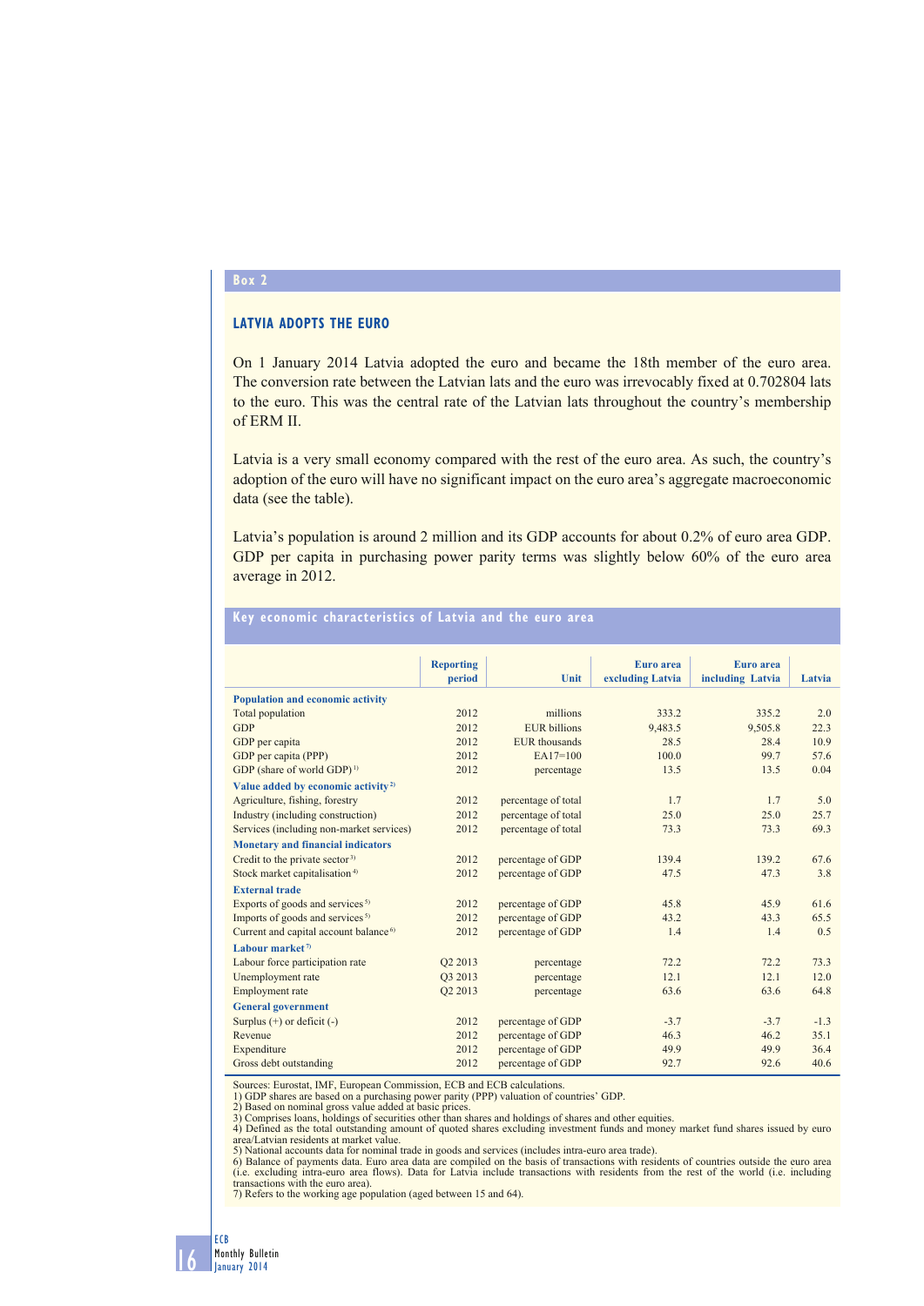## **Box 2**

## **LATVIA ADOPTS THE EURO**

On 1 January 2014 Latvia adopted the euro and became the 18th member of the euro area. The conversion rate between the Latvian lats and the euro was irrevocably fixed at 0.702804 lats to the euro. This was the central rate of the Latvian lats throughout the country's membership of ERM II.

Latvia is a very small economy compared with the rest of the euro area. As such, the country's adoption of the euro will have no significant impact on the euro area's aggregate macroeconomic data (see the table).

Latvia's population is around 2 million and its GDP accounts for about 0.2% of euro area GDP. GDP per capita in purchasing power parity terms was slightly below 60% of the euro area average in 2012.

|                                                   | <b>Reporting</b>    |                     | Euro area        | Euro area        |        |
|---------------------------------------------------|---------------------|---------------------|------------------|------------------|--------|
|                                                   | period              | <b>Unit</b>         | excluding Latvia | including Latvia | Latvia |
| <b>Population and economic activity</b>           |                     |                     |                  |                  |        |
| Total population                                  | 2012                | millions            | 333.2            | 335.2            | 2.0    |
| GDP                                               | 2012                | <b>EUR</b> billions | 9,483.5          | 9,505.8          | 22.3   |
| GDP per capita                                    | 2012                | EUR thousands       | 28.5             | 28.4             | 10.9   |
| GDP per capita (PPP)                              | 2012                | $EA17=100$          | 100.0            | 99.7             | 57.6   |
| GDP (share of world GDP) <sup>1)</sup>            | 2012                | percentage          | 13.5             | 13.5             | 0.04   |
| Value added by economic activity <sup>2)</sup>    |                     |                     |                  |                  |        |
| Agriculture, fishing, forestry                    | 2012                | percentage of total | 1.7              | 1.7              | 5.0    |
| Industry (including construction)                 | 2012                | percentage of total | 25.0             | 25.0             | 25.7   |
| Services (including non-market services)          | 2012                | percentage of total | 73.3             | 73.3             | 69.3   |
| <b>Monetary and financial indicators</b>          |                     |                     |                  |                  |        |
| Credit to the private sector <sup>3)</sup>        | 2012                | percentage of GDP   | 139.4            | 139.2            | 67.6   |
| Stock market capitalisation <sup>4)</sup>         | 2012                | percentage of GDP   | 47.5             | 47.3             | 3.8    |
| <b>External trade</b>                             |                     |                     |                  |                  |        |
| Exports of goods and services <sup>5)</sup>       | 2012                | percentage of GDP   | 45.8             | 45.9             | 61.6   |
| Imports of goods and services <sup>5)</sup>       | 2012                | percentage of GDP   | 43.2             | 43.3             | 65.5   |
| Current and capital account balance <sup>6)</sup> | 2012                | percentage of GDP   | 1.4              | 1.4              | 0.5    |
| Labour market <sup><math>7</math></sup>           |                     |                     |                  |                  |        |
| Labour force participation rate                   | Q2 2013             | percentage          | 72.2             | 72.2             | 73.3   |
| Unemployment rate                                 | O <sub>3</sub> 2013 | percentage          | 12.1             | 12.1             | 12.0   |
| Employment rate                                   | Q2 2013             | percentage          | 63.6             | 63.6             | 64.8   |
| <b>General government</b>                         |                     |                     |                  |                  |        |
| Surplus $(+)$ or deficit $(-)$                    | 2012                | percentage of GDP   | $-3.7$           | $-3.7$           | $-1.3$ |
| Revenue                                           | 2012                | percentage of GDP   | 46.3             | 46.2             | 35.1   |
| Expenditure                                       | 2012                | percentage of GDP   | 49.9             | 49.9             | 36.4   |
| Gross debt outstanding                            | 2012                | percentage of GDP   | 92.7             | 92.6             | 40.6   |

## **Key economic characteristics of Latvia and the euro area**

Sources: Eurostat, IMF, European Commission, ECB and ECB calculations.<br>1) GDP shares are based on a purchasing power parity (PPP) valuation of countries' GDP.<br>2) Based on nominal gross value added at basic prices.<br>3) Compr area/Latvian residents at market value.

5) National accounts data for nominal trade in goods and services (includes intra-euro area trade).<br>6) Balance of payments data. Euro area data are compiled on the basis of transactions with residents of countries outside

7) Refers to the working age population (aged between 15 and 64).

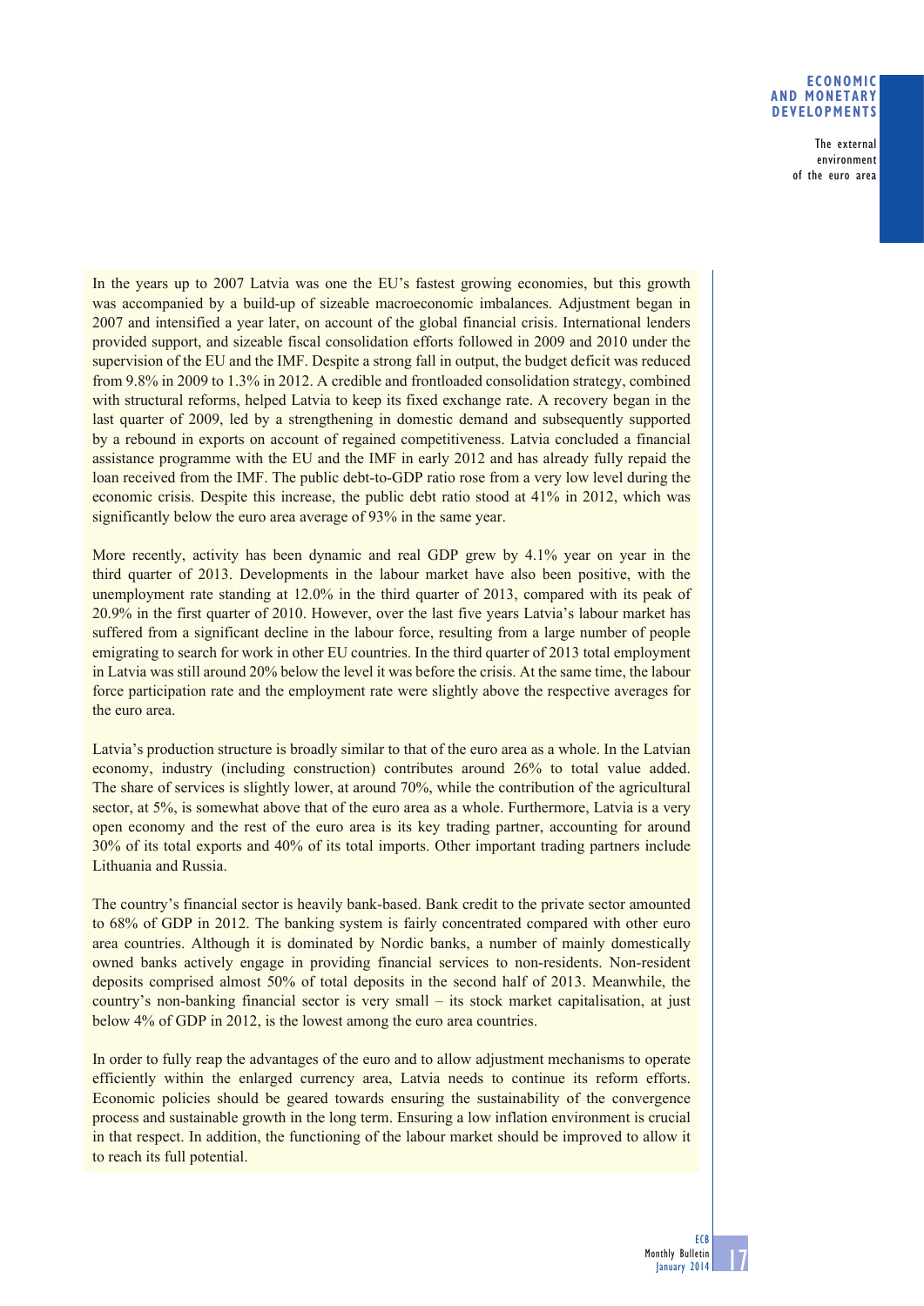## **ECONOMIC AND MONETARY DEVELOPMENTS**

The external environment of the euro area

In the years up to 2007 Latvia was one the EU's fastest growing economies, but this growth was accompanied by a build-up of sizeable macroeconomic imbalances. Adjustment began in 2007 and intensified a year later, on account of the global financial crisis. International lenders provided support, and sizeable fiscal consolidation efforts followed in 2009 and 2010 under the supervision of the EU and the IMF. Despite a strong fall in output, the budget deficit was reduced from 9.8% in 2009 to 1.3% in 2012. A credible and frontloaded consolidation strategy, combined with structural reforms, helped Latvia to keep its fixed exchange rate. A recovery began in the last quarter of 2009, led by a strengthening in domestic demand and subsequently supported by a rebound in exports on account of regained competitiveness. Latvia concluded a financial assistance programme with the EU and the IMF in early 2012 and has already fully repaid the loan received from the IMF. The public debt-to-GDP ratio rose from a very low level during the economic crisis. Despite this increase, the public debt ratio stood at 41% in 2012, which was significantly below the euro area average of 93% in the same year.

More recently, activity has been dynamic and real GDP grew by 4.1% year on year in the third quarter of 2013. Developments in the labour market have also been positive, with the unemployment rate standing at 12.0% in the third quarter of 2013, compared with its peak of 20.9% in the first quarter of 2010. However, over the last five years Latvia's labour market has suffered from a significant decline in the labour force, resulting from a large number of people emigrating to search for work in other EU countries. In the third quarter of 2013 total employment in Latvia was still around 20% below the level it was before the crisis. At the same time, the labour force participation rate and the employment rate were slightly above the respective averages for the euro area.

Latvia's production structure is broadly similar to that of the euro area as a whole. In the Latvian economy, industry (including construction) contributes around 26% to total value added. The share of services is slightly lower, at around 70%, while the contribution of the agricultural sector, at 5%, is somewhat above that of the euro area as a whole. Furthermore, Latvia is a very open economy and the rest of the euro area is its key trading partner, accounting for around 30% of its total exports and 40% of its total imports. Other important trading partners include Lithuania and Russia.

The country's financial sector is heavily bank-based. Bank credit to the private sector amounted to 68% of GDP in 2012. The banking system is fairly concentrated compared with other euro area countries. Although it is dominated by Nordic banks, a number of mainly domestically owned banks actively engage in providing financial services to non-residents. Non-resident deposits comprised almost 50% of total deposits in the second half of 2013. Meanwhile, the country's non-banking financial sector is very small – its stock market capitalisation, at just below 4% of GDP in 2012, is the lowest among the euro area countries.

In order to fully reap the advantages of the euro and to allow adjustment mechanisms to operate efficiently within the enlarged currency area, Latvia needs to continue its reform efforts. Economic policies should be geared towards ensuring the sustainability of the convergence process and sustainable growth in the long term. Ensuring a low inflation environment is crucial in that respect. In addition, the functioning of the labour market should be improved to allow it to reach its full potential.